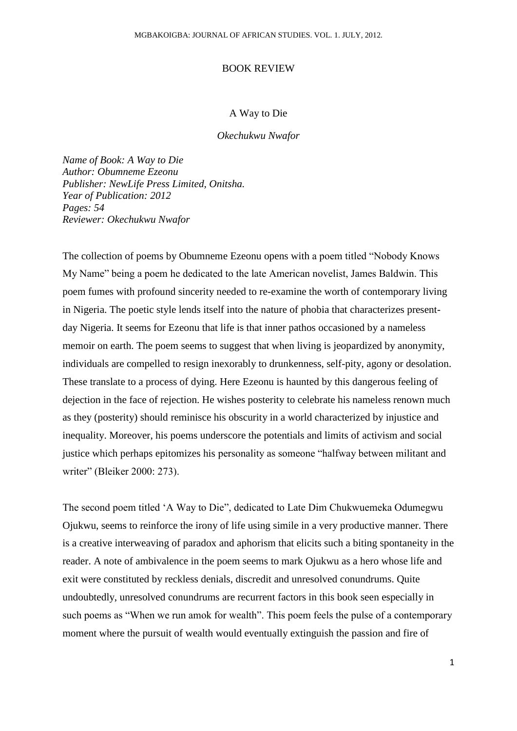## BOOK REVIEW

## A Way to Die

*Okechukwu Nwafor*

*Name of Book: A Way to Die Author: Obumneme Ezeonu Publisher: NewLife Press Limited, Onitsha. Year of Publication: 2012 Pages: 54 Reviewer: Okechukwu Nwafor*

The collection of poems by Obumneme Ezeonu opens with a poem titled "Nobody Knows My Name" being a poem he dedicated to the late American novelist, James Baldwin. This poem fumes with profound sincerity needed to re-examine the worth of contemporary living in Nigeria. The poetic style lends itself into the nature of phobia that characterizes presentday Nigeria. It seems for Ezeonu that life is that inner pathos occasioned by a nameless memoir on earth. The poem seems to suggest that when living is jeopardized by anonymity, individuals are compelled to resign inexorably to drunkenness, self-pity, agony or desolation. These translate to a process of dying. Here Ezeonu is haunted by this dangerous feeling of dejection in the face of rejection. He wishes posterity to celebrate his nameless renown much as they (posterity) should reminisce his obscurity in a world characterized by injustice and inequality. Moreover, his poems underscore the potentials and limits of activism and social justice which perhaps epitomizes his personality as someone "halfway between militant and writer" (Bleiker 2000: 273).

The second poem titled "A Way to Die", dedicated to Late Dim Chukwuemeka Odumegwu Ojukwu, seems to reinforce the irony of life using simile in a very productive manner. There is a creative interweaving of paradox and aphorism that elicits such a biting spontaneity in the reader. A note of ambivalence in the poem seems to mark Ojukwu as a hero whose life and exit were constituted by reckless denials, discredit and unresolved conundrums. Quite undoubtedly, unresolved conundrums are recurrent factors in this book seen especially in such poems as "When we run amok for wealth". This poem feels the pulse of a contemporary moment where the pursuit of wealth would eventually extinguish the passion and fire of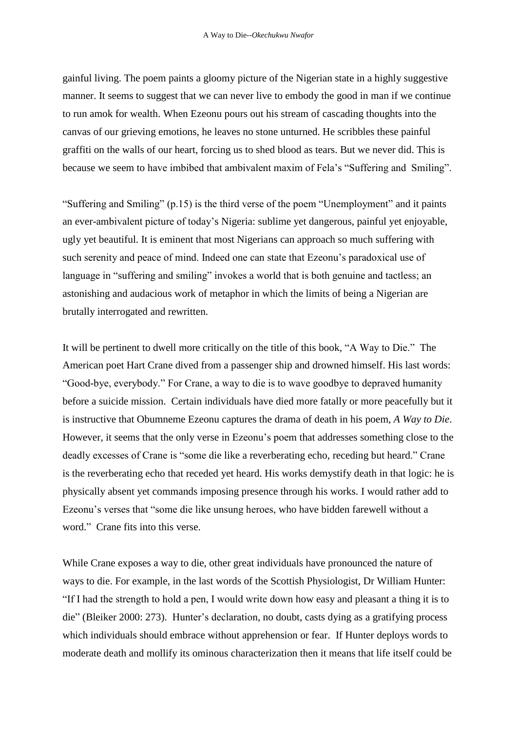gainful living. The poem paints a gloomy picture of the Nigerian state in a highly suggestive manner. It seems to suggest that we can never live to embody the good in man if we continue to run amok for wealth. When Ezeonu pours out his stream of cascading thoughts into the canvas of our grieving emotions, he leaves no stone unturned. He scribbles these painful graffiti on the walls of our heart, forcing us to shed blood as tears. But we never did. This is because we seem to have imbibed that ambivalent maxim of Fela"s "Suffering and Smiling".

"Suffering and Smiling" (p.15) is the third verse of the poem "Unemployment" and it paints an ever-ambivalent picture of today"s Nigeria: sublime yet dangerous, painful yet enjoyable, ugly yet beautiful. It is eminent that most Nigerians can approach so much suffering with such serenity and peace of mind. Indeed one can state that Ezeonu"s paradoxical use of language in "suffering and smiling" invokes a world that is both genuine and tactless; an astonishing and audacious work of metaphor in which the limits of being a Nigerian are brutally interrogated and rewritten.

It will be pertinent to dwell more critically on the title of this book, "A Way to Die." The American poet Hart Crane dived from a passenger ship and drowned himself. His last words: "Good-bye, everybody." For Crane, a way to die is to wave goodbye to depraved humanity before a suicide mission. Certain individuals have died more fatally or more peacefully but it is instructive that Obumneme Ezeonu captures the drama of death in his poem, *A Way to Die*. However, it seems that the only verse in Ezeonu"s poem that addresses something close to the deadly excesses of Crane is "some die like a reverberating echo, receding but heard." Crane is the reverberating echo that receded yet heard. His works demystify death in that logic: he is physically absent yet commands imposing presence through his works. I would rather add to Ezeonu"s verses that "some die like unsung heroes, who have bidden farewell without a word." Crane fits into this verse.

While Crane exposes a way to die, other great individuals have pronounced the nature of ways to die. For example, in the last words of the Scottish Physiologist, Dr William Hunter: "If I had the strength to hold a pen, I would write down how easy and pleasant a thing it is to die" (Bleiker 2000: 273). Hunter"s declaration, no doubt, casts dying as a gratifying process which individuals should embrace without apprehension or fear. If Hunter deploys words to moderate death and mollify its ominous characterization then it means that life itself could be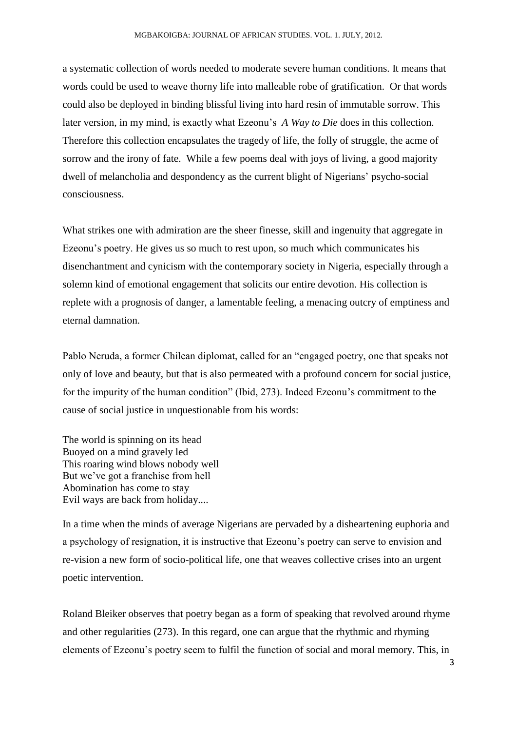a systematic collection of words needed to moderate severe human conditions. It means that words could be used to weave thorny life into malleable robe of gratification. Or that words could also be deployed in binding blissful living into hard resin of immutable sorrow. This later version, in my mind, is exactly what Ezeonu"s *A Way to Die* does in this collection. Therefore this collection encapsulates the tragedy of life, the folly of struggle, the acme of sorrow and the irony of fate. While a few poems deal with joys of living, a good majority dwell of melancholia and despondency as the current blight of Nigerians" psycho-social consciousness.

What strikes one with admiration are the sheer finesse, skill and ingenuity that aggregate in Ezeonu"s poetry. He gives us so much to rest upon, so much which communicates his disenchantment and cynicism with the contemporary society in Nigeria, especially through a solemn kind of emotional engagement that solicits our entire devotion. His collection is replete with a prognosis of danger, a lamentable feeling, a menacing outcry of emptiness and eternal damnation.

Pablo Neruda, a former Chilean diplomat, called for an "engaged poetry, one that speaks not only of love and beauty, but that is also permeated with a profound concern for social justice, for the impurity of the human condition" (Ibid, 273). Indeed Ezeonu"s commitment to the cause of social justice in unquestionable from his words:

The world is spinning on its head Buoyed on a mind gravely led This roaring wind blows nobody well But we"ve got a franchise from hell Abomination has come to stay Evil ways are back from holiday....

In a time when the minds of average Nigerians are pervaded by a disheartening euphoria and a psychology of resignation, it is instructive that Ezeonu"s poetry can serve to envision and re-vision a new form of socio-political life, one that weaves collective crises into an urgent poetic intervention.

Roland Bleiker observes that poetry began as a form of speaking that revolved around rhyme and other regularities (273). In this regard, one can argue that the rhythmic and rhyming elements of Ezeonu"s poetry seem to fulfil the function of social and moral memory. This, in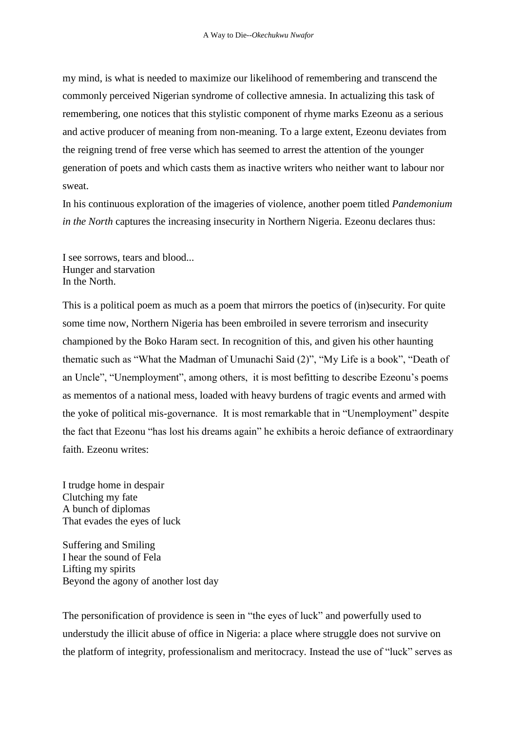my mind, is what is needed to maximize our likelihood of remembering and transcend the commonly perceived Nigerian syndrome of collective amnesia. In actualizing this task of remembering, one notices that this stylistic component of rhyme marks Ezeonu as a serious and active producer of meaning from non-meaning. To a large extent, Ezeonu deviates from the reigning trend of free verse which has seemed to arrest the attention of the younger generation of poets and which casts them as inactive writers who neither want to labour nor sweat.

In his continuous exploration of the imageries of violence, another poem titled *Pandemonium in the North* captures the increasing insecurity in Northern Nigeria. Ezeonu declares thus:

I see sorrows, tears and blood... Hunger and starvation In the North.

This is a political poem as much as a poem that mirrors the poetics of (in)security. For quite some time now, Northern Nigeria has been embroiled in severe terrorism and insecurity championed by the Boko Haram sect. In recognition of this, and given his other haunting thematic such as "What the Madman of Umunachi Said (2)", "My Life is a book", "Death of an Uncle", "Unemployment", among others, it is most befitting to describe Ezeonu"s poems as mementos of a national mess, loaded with heavy burdens of tragic events and armed with the yoke of political mis-governance. It is most remarkable that in "Unemployment" despite the fact that Ezeonu "has lost his dreams again" he exhibits a heroic defiance of extraordinary faith. Ezeonu writes:

I trudge home in despair Clutching my fate A bunch of diplomas That evades the eyes of luck

Suffering and Smiling I hear the sound of Fela Lifting my spirits Beyond the agony of another lost day

The personification of providence is seen in "the eyes of luck" and powerfully used to understudy the illicit abuse of office in Nigeria: a place where struggle does not survive on the platform of integrity, professionalism and meritocracy. Instead the use of "luck" serves as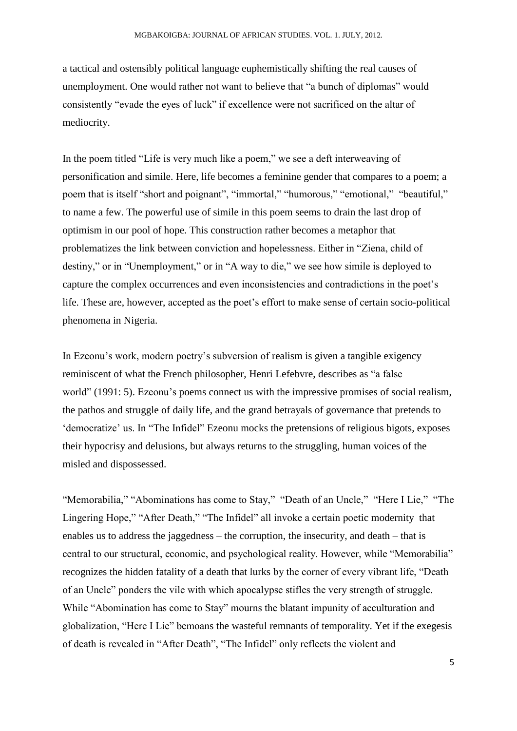a tactical and ostensibly political language euphemistically shifting the real causes of unemployment. One would rather not want to believe that "a bunch of diplomas" would consistently "evade the eyes of luck" if excellence were not sacrificed on the altar of mediocrity.

In the poem titled "Life is very much like a poem," we see a deft interweaving of personification and simile. Here, life becomes a feminine gender that compares to a poem; a poem that is itself "short and poignant", "immortal," "humorous," "emotional," "beautiful," to name a few. The powerful use of simile in this poem seems to drain the last drop of optimism in our pool of hope. This construction rather becomes a metaphor that problematizes the link between conviction and hopelessness. Either in "Ziena, child of destiny," or in "Unemployment," or in "A way to die," we see how simile is deployed to capture the complex occurrences and even inconsistencies and contradictions in the poet"s life. These are, however, accepted as the poet"s effort to make sense of certain socio-political phenomena in Nigeria.

In Ezeonu"s work, modern poetry"s subversion of realism is given a tangible exigency reminiscent of what the French philosopher, Henri Lefebvre, describes as "a false world" (1991: 5). Ezeonu"s poems connect us with the impressive promises of social realism, the pathos and struggle of daily life, and the grand betrayals of governance that pretends to 'democratize' us. In "The Infidel" Ezeonu mocks the pretensions of religious bigots, exposes their hypocrisy and delusions, but always returns to the struggling, human voices of the misled and dispossessed.

"Memorabilia," "Abominations has come to Stay," "Death of an Uncle," "Here I Lie," "The Lingering Hope," "After Death," "The Infidel" all invoke a certain poetic modernity that enables us to address the jaggedness – the corruption, the insecurity, and death – that is central to our structural, economic, and psychological reality. However, while "Memorabilia" recognizes the hidden fatality of a death that lurks by the corner of every vibrant life, "Death of an Uncle" ponders the vile with which apocalypse stifles the very strength of struggle. While "Abomination has come to Stay" mourns the blatant impunity of acculturation and globalization, "Here I Lie" bemoans the wasteful remnants of temporality. Yet if the exegesis of death is revealed in "After Death", "The Infidel" only reflects the violent and

5